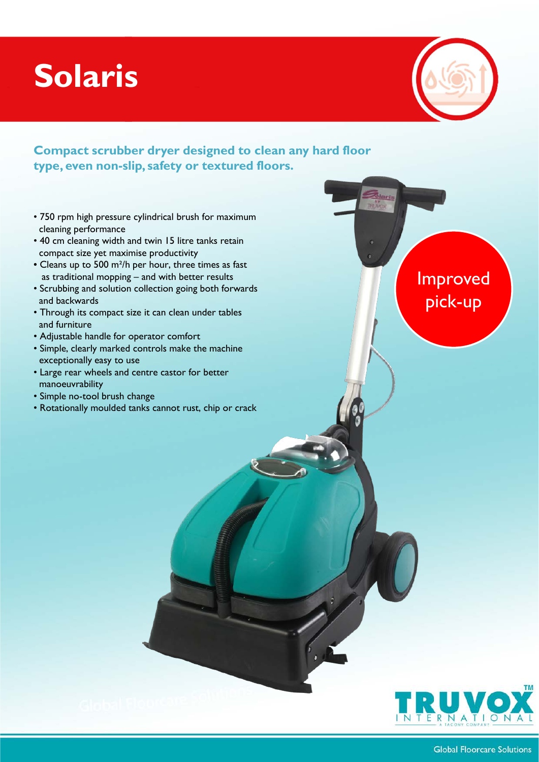## **Solaris**



Improved

pick-up

## **Compact scrubber dryer designed to clean any hard floor type, even non-slip, safety or textured floors.**

- 750 rpm high pressure cylindrical brush for maximum cleaning performance
- 40 cm cleaning width and twin 15 litre tanks retain compact size yet maximise productivity
- Cleans up to 500 m²/h per hour, three times as fast as traditional mopping – and with better results
- Scrubbing and solution collection going both forwards and backwards
- Through its compact size it can clean under tables and furniture
- Adjustable handle for operator comfort
- Simple, clearly marked controls make the machine exceptionally easy to use
- Large rear wheels and centre castor for better manoeuvrability
- Simple no-tool brush change
- Rotationally moulded tanks cannot rust, chip or crack